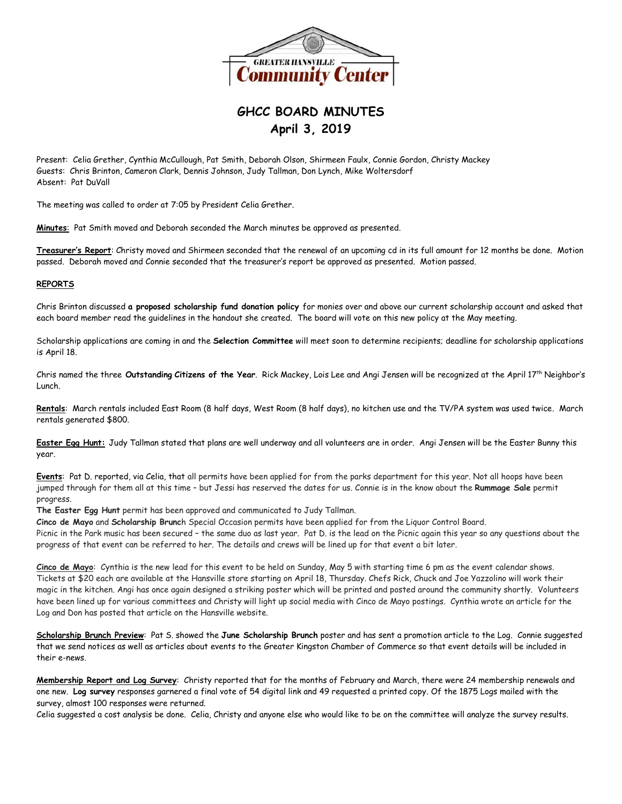

## **GHCC BOARD MINUTES April 3, 2019**

Present: Celia Grether, Cynthia McCullough, Pat Smith, Deborah Olson, Shirmeen Faulx, Connie Gordon, Christy Mackey Guests: Chris Brinton, Cameron Clark, Dennis Johnson, Judy Tallman, Don Lynch, Mike Woltersdorf Absent: Pat DuVall

The meeting was called to order at 7:05 by President Celia Grether.

**Minutes**: Pat Smith moved and Deborah seconded the March minutes be approved as presented.

**Treasurer's Report**: Christy moved and Shirmeen seconded that the renewal of an upcoming cd in its full amount for 12 months be done. Motion passed. Deborah moved and Connie seconded that the treasurer's report be approved as presented. Motion passed.

## **REPORTS**

Chris Brinton discussed **a proposed scholarship fund donation policy** for monies over and above our current scholarship account and asked that each board member read the guidelines in the handout she created. The board will vote on this new policy at the May meeting.

Scholarship applications are coming in and the **Selection Committee** will meet soon to determine recipients; deadline for scholarship applications is April 18.

Chris named the three **Outstanding Citizens of the Year**. Rick Mackey, Lois Lee and Angi Jensen will be recognized at the April 17th Neighbor's Lunch.

**Rentals**: March rentals included East Room (8 half days, West Room (8 half days), no kitchen use and the TV/PA system was used twice. March rentals generated \$800.

**Easter Egg Hunt:** Judy Tallman stated that plans are well underway and all volunteers are in order. Angi Jensen will be the Easter Bunny this year.

**Events**: Pat D. reported, via Celia, that all permits have been applied for from the parks department for this year. Not all hoops have been jumped through for them all at this time – but Jessi has reserved the dates for us. Connie is in the know about the **Rummage Sale** permit progress.

**The Easter Egg Hunt** permit has been approved and communicated to Judy Tallman.

**Cinco de Mayo** and **Scholarship Brunc**h Special Occasion permits have been applied for from the Liquor Control Board.

Picnic in the Park music has been secured – the same duo as last year. Pat D. is the lead on the Picnic again this year so any questions about the progress of that event can be referred to her. The details and crews will be lined up for that event a bit later.

**Cinco de Mayo**: Cynthia is the new lead for this event to be held on Sunday, May 5 with starting time 6 pm as the event calendar shows. Tickets at \$20 each are available at the Hansville store starting on April 18, Thursday. Chefs Rick, Chuck and Joe Yazzolino will work their magic in the kitchen. Angi has once again designed a striking poster which will be printed and posted around the community shortly. Volunteers have been lined up for various committees and Christy will light up social media with Cinco de Mayo postings. Cynthia wrote an article for the Log and Don has posted that article on the Hansville website.

**Scholarship Brunch Preview**: Pat S. showed the **June Scholarship Brunch** poster and has sent a promotion article to the Log. Connie suggested that we send notices as well as articles about events to the Greater Kingston Chamber of Commerce so that event details will be included in their e-news.

**Membership Report and Log Survey**: Christy reported that for the months of February and March, there were 24 membership renewals and one new. **Log survey** responses garnered a final vote of 54 digital link and 49 requested a printed copy. Of the 1875 Logs mailed with the survey, almost 100 responses were returned.

Celia suggested a cost analysis be done. Celia, Christy and anyone else who would like to be on the committee will analyze the survey results.